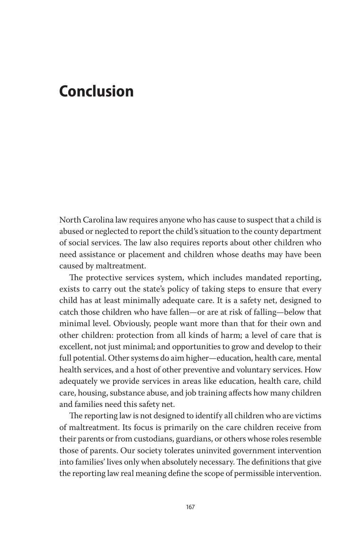## **Conclusion**

North Carolina law requires anyone who has cause to suspect that a child is abused or neglected to report the child's situation to the county department of social services. The law also requires reports about other children who need assistance or placement and children whose deaths may have been caused by maltreatment.

The protective services system, which includes mandated reporting, exists to carry out the state's policy of taking steps to ensure that every child has at least minimally adequate care. It is a safety net, designed to catch those children who have fallen—or are at risk of falling—below that minimal level. Obviously, people want more than that for their own and other children: protection from all kinds of harm; a level of care that is excellent, not just minimal; and opportunities to grow and develop to their full potential. Other systems do aim higher—education, health care, mental health services, and a host of other preventive and voluntary services. How adequately we provide services in areas like education, health care, child care, housing, substance abuse, and job training affects how many children and families need this safety net.

The reporting law is not designed to identify all children who are victims of maltreatment. Its focus is primarily on the care children receive from their parents or from custodians, guardians, or others whose roles resemble those of parents. Our society tolerates uninvited government intervention into families' lives only when absolutely necessary. The definitions that give the reporting law real meaning define the scope of permissible intervention.